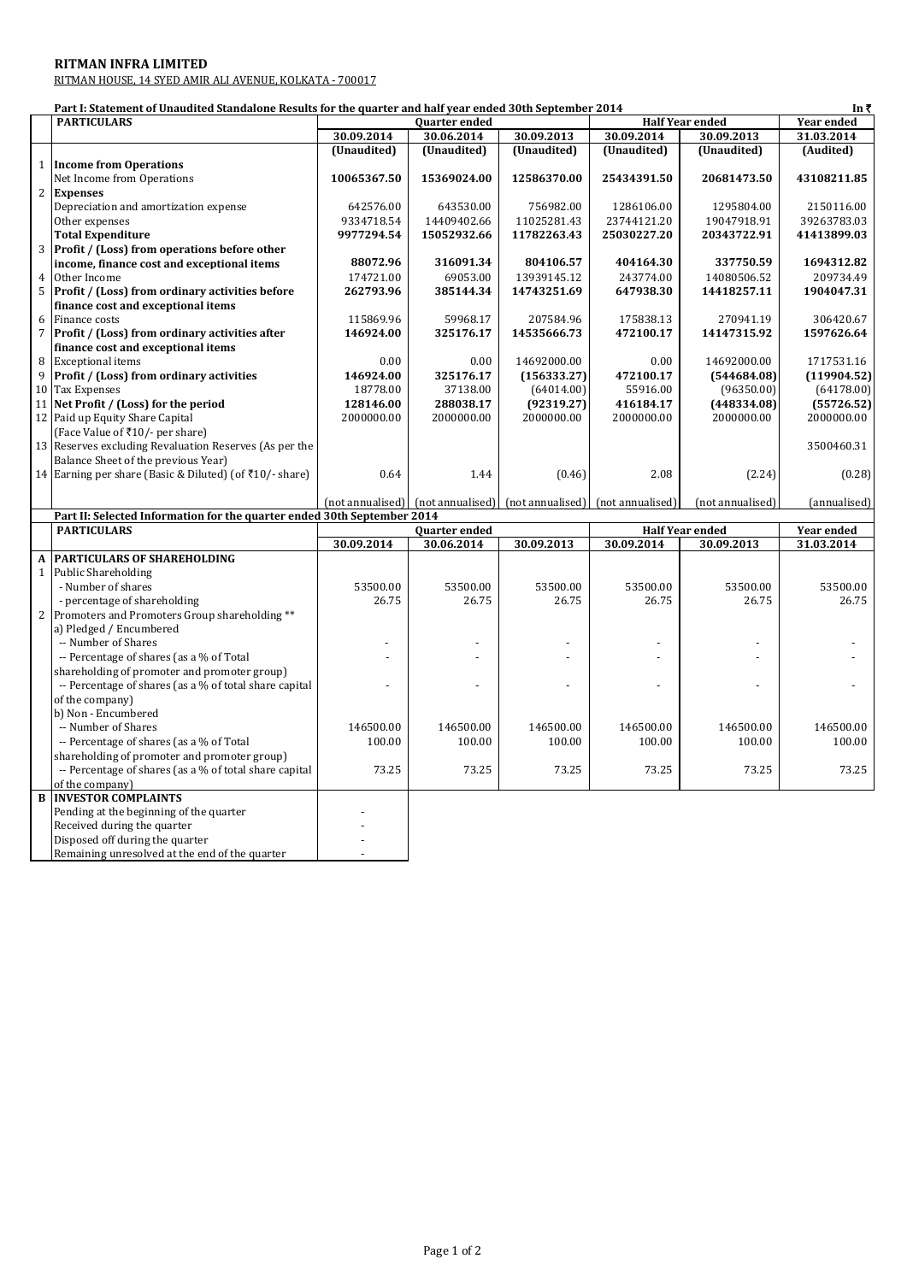## **RITMAN INFRA LIMITED**

RITMAN HOUSE, 14 SYED AMIR ALI AVENUE, KOLKATA - 700017

Disposed off during the quarter **Fig. 1.1.** Remaining unresolved at the end of the quarter  $\vert$ 

|                | Part I: Statement of Unaudited Standalone Results for the quarter and half year ended 30th September 2014 |             |                                                                     |             |                        |                        | In ₹              |
|----------------|-----------------------------------------------------------------------------------------------------------|-------------|---------------------------------------------------------------------|-------------|------------------------|------------------------|-------------------|
|                | <b>PARTICULARS</b>                                                                                        |             | <b>Ouarter ended</b>                                                |             |                        | <b>Half Year ended</b> | <b>Year ended</b> |
|                |                                                                                                           | 30.09.2014  | 30.06.2014                                                          | 30.09.2013  | 30.09.2014             | 30.09.2013             | 31.03.2014        |
|                |                                                                                                           | (Unaudited) | (Unaudited)                                                         | (Unaudited) | (Unaudited)            | (Unaudited)            | (Audited)         |
|                | 1 Income from Operations                                                                                  |             |                                                                     |             |                        |                        |                   |
|                | Net Income from Operations                                                                                | 10065367.50 | 15369024.00                                                         | 12586370.00 | 25434391.50            | 20681473.50            | 43108211.85       |
|                | 2 Expenses                                                                                                |             |                                                                     |             |                        |                        |                   |
|                | Depreciation and amortization expense                                                                     | 642576.00   | 643530.00                                                           | 756982.00   | 1286106.00             | 1295804.00             | 2150116.00        |
|                | Other expenses                                                                                            | 9334718.54  | 14409402.66                                                         | 11025281.43 | 23744121.20            | 19047918.91            | 39263783.03       |
|                | <b>Total Expenditure</b>                                                                                  | 9977294.54  | 15052932.66                                                         | 11782263.43 | 25030227.20            | 20343722.91            | 41413899.03       |
|                | 3 Profit / (Loss) from operations before other                                                            |             |                                                                     |             |                        |                        |                   |
|                | income, finance cost and exceptional items                                                                | 88072.96    | 316091.34                                                           | 804106.57   | 404164.30              | 337750.59              | 1694312.82        |
| $\overline{4}$ | Other Income                                                                                              | 174721.00   | 69053.00                                                            | 13939145.12 | 243774.00              | 14080506.52            | 209734.49         |
|                | 5 Profit / (Loss) from ordinary activities before                                                         | 262793.96   | 385144.34                                                           | 14743251.69 | 647938.30              | 14418257.11            | 1904047.31        |
|                | finance cost and exceptional items                                                                        |             |                                                                     |             |                        |                        |                   |
| 6              | Finance costs                                                                                             | 115869.96   | 59968.17                                                            | 207584.96   | 175838.13              | 270941.19              | 306420.67         |
| $\overline{7}$ | Profit / (Loss) from ordinary activities after                                                            | 146924.00   | 325176.17                                                           | 14535666.73 | 472100.17              | 14147315.92            | 1597626.64        |
|                | finance cost and exceptional items                                                                        |             |                                                                     |             |                        |                        |                   |
| 8              | <b>Exceptional items</b>                                                                                  | 0.00        | 0.00                                                                | 14692000.00 | 0.00                   | 14692000.00            | 1717531.16        |
| 9              | <b>Profit / (Loss) from ordinary activities</b>                                                           | 146924.00   | 325176.17                                                           | (156333.27) | 472100.17              | (544684.08)            | (119904.52)       |
|                | 10 Tax Expenses                                                                                           | 18778.00    | 37138.00                                                            | (64014.00)  | 55916.00               | (96350.00)             | (64178.00)        |
|                | 11 Net Profit / (Loss) for the period                                                                     | 128146.00   | 288038.17                                                           | (92319.27)  | 416184.17              | (448334.08)            | (55726.52)        |
|                | 12 Paid up Equity Share Capital                                                                           | 2000000.00  | 2000000.00                                                          | 2000000.00  | 2000000.00             | 2000000.00             | 2000000.00        |
|                | (Face Value of ₹10/- per share)                                                                           |             |                                                                     |             |                        |                        |                   |
|                | 13 Reserves excluding Revaluation Reserves (As per the                                                    |             |                                                                     |             |                        |                        | 3500460.31        |
|                | Balance Sheet of the previous Year)                                                                       |             |                                                                     |             |                        |                        |                   |
|                | 14 Earning per share (Basic & Diluted) (of ₹10/- share)                                                   | 0.64        | 1.44                                                                | (0.46)      | 2.08                   | (2.24)                 | (0.28)            |
|                |                                                                                                           |             |                                                                     |             |                        |                        |                   |
|                |                                                                                                           |             | (not annualised) [not annualised] [not annualised] [not annualised] |             |                        | (not annualised)       | (annualised)      |
|                | Part II: Selected Information for the quarter ended 30th September 2014                                   |             |                                                                     |             |                        |                        |                   |
|                | <b>PARTICULARS</b>                                                                                        |             | <b>Quarter</b> ended                                                |             | <b>Half Year ended</b> |                        | Year ended        |
|                |                                                                                                           | 30.09.2014  | 30.06.2014                                                          | 30.09.2013  | 30.09.2014             | 30.09.2013             | 31.03.2014        |
| $\mathbf A$    | <b>PARTICULARS OF SHAREHOLDING</b>                                                                        |             |                                                                     |             |                        |                        |                   |
| $\mathbf{1}$   | Public Shareholding                                                                                       |             |                                                                     |             |                        |                        |                   |
|                | - Number of shares                                                                                        | 53500.00    | 53500.00                                                            | 53500.00    | 53500.00               | 53500.00               | 53500.00          |
|                | - percentage of shareholding                                                                              | 26.75       | 26.75                                                               | 26.75       | 26.75                  | 26.75                  | 26.75             |
|                | 2 Promoters and Promoters Group shareholding **                                                           |             |                                                                     |             |                        |                        |                   |
|                | a) Pledged / Encumbered                                                                                   |             |                                                                     |             |                        |                        |                   |
|                | -- Number of Shares                                                                                       |             |                                                                     |             |                        |                        |                   |
|                | -- Percentage of shares (as a % of Total                                                                  |             |                                                                     |             |                        |                        |                   |
|                | shareholding of promoter and promoter group)                                                              |             |                                                                     |             |                        |                        |                   |
|                | -- Percentage of shares (as a % of total share capital                                                    |             |                                                                     |             |                        |                        |                   |
|                | of the company)                                                                                           |             |                                                                     |             |                        |                        |                   |
|                | b) Non - Encumbered                                                                                       |             |                                                                     |             |                        |                        |                   |
|                | -- Number of Shares                                                                                       | 146500.00   | 146500.00                                                           | 146500.00   | 146500.00              | 146500.00              | 146500.00         |
|                |                                                                                                           | 100.00      | 100.00                                                              | 100.00      | 100.00                 | 100.00                 | 100.00            |
|                | -- Percentage of shares (as a % of Total                                                                  |             |                                                                     |             |                        |                        |                   |
|                | shareholding of promoter and promoter group)                                                              |             |                                                                     |             |                        |                        |                   |
|                | -- Percentage of shares (as a % of total share capital                                                    | 73.25       | 73.25                                                               | 73.25       | 73.25                  | 73.25                  | 73.25             |
|                | of the company)                                                                                           |             |                                                                     |             |                        |                        |                   |
|                | <b>B INVESTOR COMPLAINTS</b>                                                                              |             |                                                                     |             |                        |                        |                   |
|                | Pending at the beginning of the quarter                                                                   |             |                                                                     |             |                        |                        |                   |
|                | Received during the quarter                                                                               |             |                                                                     |             |                        |                        |                   |